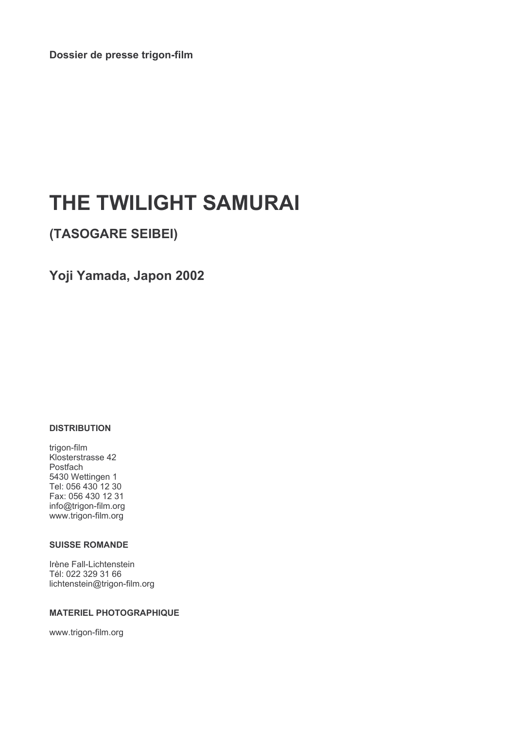Dossier de presse trigon-film

# **THE TWILIGHT SAMURAI**

(TASOGARE SEIBEI)

Yoji Yamada, Japon 2002

#### **DISTRIBUTION**

trigon-film Klosterstrasse 42 Postfach 5430 Wettingen 1 Tel: 056 430 12 30 Fax: 056 430 12 31 info@trigon-film.org www.trigon-film.org

## **SUISSE ROMANDE**

Irène Fall-Lichtenstein Tél: 022 329 31 66 lichtenstein@trigon-film.org

#### **MATERIEL PHOTOGRAPHIQUE**

www.trigon-film.org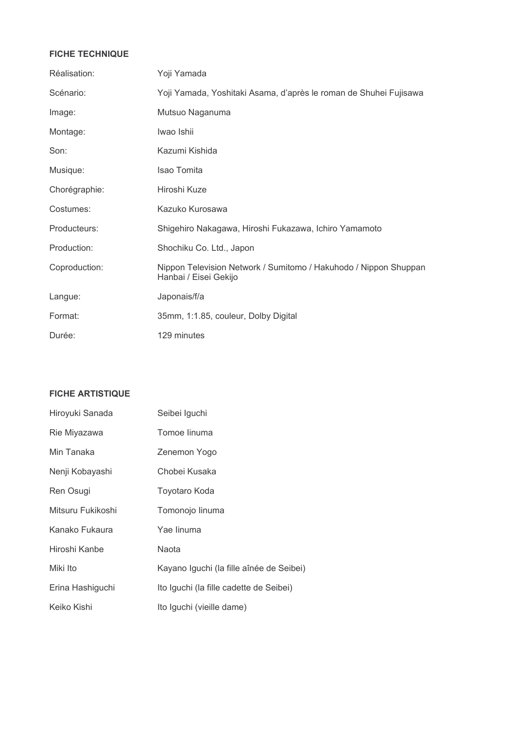# **FICHE TECHNIQUE**

| Réalisation:  | Yoji Yamada                                                                               |
|---------------|-------------------------------------------------------------------------------------------|
| Scénario:     | Yoji Yamada, Yoshitaki Asama, d'après le roman de Shuhei Fujisawa                         |
| Image:        | Mutsuo Naganuma                                                                           |
| Montage:      | Iwao Ishii                                                                                |
| Son:          | Kazumi Kishida                                                                            |
| Musique:      | Isao Tomita                                                                               |
| Chorégraphie: | Hiroshi Kuze                                                                              |
| Costumes:     | Kazuko Kurosawa                                                                           |
| Producteurs:  | Shigehiro Nakagawa, Hiroshi Fukazawa, Ichiro Yamamoto                                     |
| Production:   | Shochiku Co. Ltd., Japon                                                                  |
| Coproduction: | Nippon Television Network / Sumitomo / Hakuhodo / Nippon Shuppan<br>Hanbai / Eisei Gekijo |
| Langue:       | Japonais/f/a                                                                              |
| Format:       | 35mm, 1:1.85, couleur, Dolby Digital                                                      |
| Durée:        | 129 minutes                                                                               |

## **FICHE ARTISTIQUE**

| Hiroyuki Sanada   | Seibei Iguchi                            |
|-------------------|------------------------------------------|
| Rie Miyazawa      | Tomoe linuma                             |
| Min Tanaka        | Zenemon Yogo                             |
| Nenji Kobayashi   | Chobei Kusaka                            |
| Ren Osugi         | Toyotaro Koda                            |
| Mitsuru Fukikoshi | Tomonojo linuma                          |
| Kanako Fukaura    | Yae linuma                               |
| Hiroshi Kanbe     | Naota                                    |
| Miki Ito          | Kayano Iguchi (la fille aînée de Seibei) |
| Erina Hashiguchi  | Ito Iguchi (la fille cadette de Seibei)  |
| Keiko Kishi       | Ito Iguchi (vieille dame)                |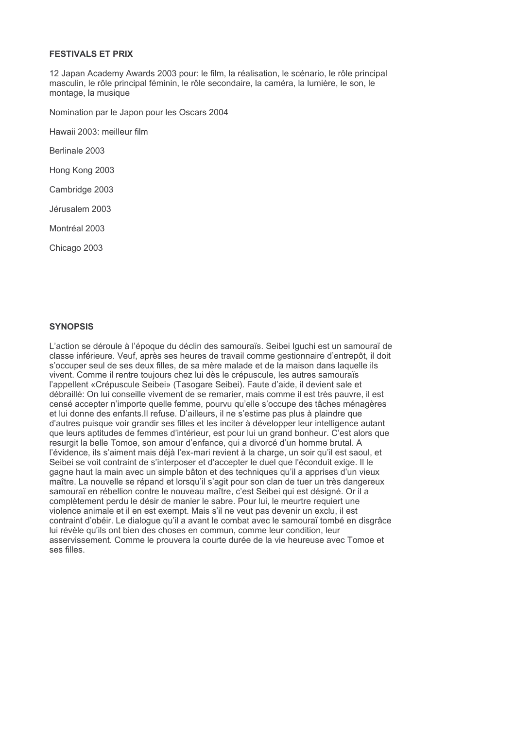#### **FESTIVALS ET PRIX**

12 Japan Academy Awards 2003 pour: le film, la réalisation, le scénario, le rôle principal masculin, le rôle principal féminin, le rôle secondaire, la caméra, la lumière, le son, le montage, la musique

Nomination par le Japon pour les Oscars 2004

Hawaii 2003: meilleur film

Berlinale 2003

Hong Kong 2003

Cambridge 2003

Jérusalem 2003

Montréal 2003

Chicago 2003

#### **SYNOPSIS**

L'action se déroule à l'époque du déclin des samouraïs. Seibei Iquchi est un samouraï de classe inférieure. Veuf, après ses heures de travail comme gestionnaire d'entrepôt, il doit s'occuper seul de ses deux filles, de sa mère malade et de la maison dans laquelle ils vivent. Comme il rentre toujours chez lui dès le crépuscule, les autres samouraïs l'appellent «Crépuscule Seibei» (Tasogare Seibei). Faute d'aide, il devient sale et débraillé: On lui conseille vivement de se remarier, mais comme il est très pauvre, il est censé accepter n'importe quelle femme, pourvu qu'elle s'occupe des tâches ménagères et lui donne des enfants Il refuse. D'ailleurs, il ne s'estime pas plus à plaindre que d'autres puisque voir grandir ses filles et les inciter à développer leur intelligence autant que leurs aptitudes de femmes d'intérieur, est pour lui un grand bonheur. C'est alors que resurgit la belle Tomoe, son amour d'enfance, qui a divorcé d'un homme brutal. A l'évidence. ils s'aiment mais déià l'ex-mari revient à la charge, un soir qu'il est saoul, et Seibei se voit contraint de s'interposer et d'accepter le duel que l'éconduit exige. Il le gagne haut la main avec un simple bâton et des techniques qu'il a apprises d'un vieux maître. La nouvelle se répand et lorsqu'il s'agit pour son clan de tuer un très dangereux samouraï en rébellion contre le nouveau maître, c'est Seibei qui est désigné. Or il a complètement perdu le désir de manier le sabre. Pour lui, le meurtre requiert une violence animale et il en est exempt. Mais s'il ne veut pas devenir un exclu, il est contraint d'obéir. Le dialogue gu'il a avant le combat avec le samouraï tombé en disgrâce lui révèle qu'ils ont bien des choses en commun, comme leur condition, leur asservissement. Comme le prouvera la courte durée de la vie heureuse avec Tomoe et ses filles.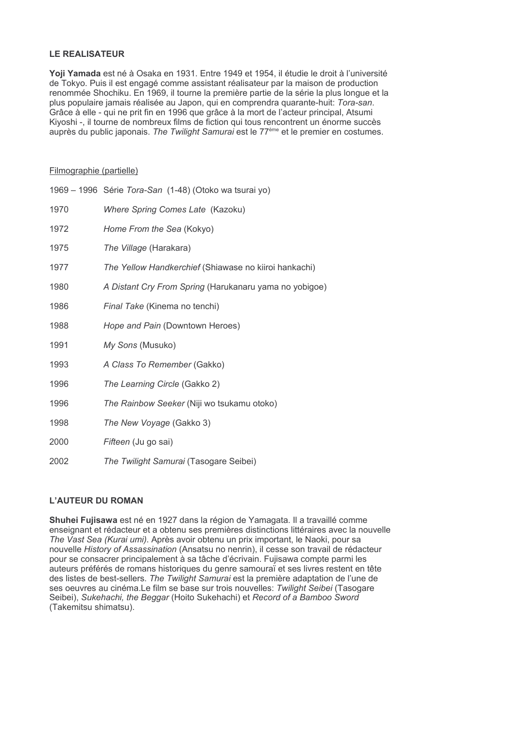#### **LE REALISATEUR**

Yoii Yamada est né à Osaka en 1931. Entre 1949 et 1954, il étudie le droit à l'université de Tokyo. Puis il est engagé comme assistant réalisateur par la maison de production renommée Shochiku. En 1969, il tourne la première partie de la série la plus longue et la plus populaire jamais réalisée au Japon, qui en comprendra quarante-huit: Tora-san. Grâce à elle - qui ne prit fin en 1996 que grâce à la mort de l'acteur principal, Atsumi Kiyoshi -, il tourne de nombreux films de fiction qui tous rencontrent un énorme succès auprès du public japonais. The Twilight Samurai est le 77<sup>ème</sup> et le premier en costumes.

#### Filmographie (partielle)

|      | 1969 – 1996 Série Tora-San (1-48) (Otoko wa tsurai yo) |
|------|--------------------------------------------------------|
| 1970 | Where Spring Comes Late (Kazoku)                       |
| 1972 | Home From the Sea (Kokyo)                              |
| 1975 | The Village (Harakara)                                 |
| 1977 | The Yellow Handkerchief (Shiawase no kiiroi hankachi)  |
| 1980 | A Distant Cry From Spring (Harukanaru yama no yobigoe) |
| 1986 | Final Take (Kinema no tenchi)                          |
| 1988 | Hope and Pain (Downtown Heroes)                        |
| 1991 | My Sons (Musuko)                                       |
| 1993 | A Class To Remember (Gakko)                            |
| 1996 | The Learning Circle (Gakko 2)                          |
| 1996 | The Rainbow Seeker (Niji wo tsukamu otoko)             |
| 1998 | The New Voyage (Gakko 3)                               |
| 2000 | Fifteen (Ju go sai)                                    |
| 2002 | The Twilight Samurai (Tasogare Seibei)                 |

#### **L'AUTEUR DU ROMAN**

Shuhei Fujisawa est né en 1927 dans la région de Yamagata. Il a travaillé comme ensejonant et rédacteur et a obtenu ses premières distinctions littéraires avec la nouvelle The Vast Sea (Kurai umi). Après avoir obtenu un prix important, le Naoki, pour sa nouvelle History of Assassination (Ansatsu no nenrin), il cesse son travail de rédacteur pour se consacrer principalement à sa tâche d'écrivain. Fuijsawa compte parmi les auteurs préférés de romans historiques du genre samouraï et ses livres restent en tête des listes de best-sellers. The Twilight Samurai est la première adaptation de l'une de ses oeuvres au cinéma. Le film se base sur trois nouvelles: Twilight Seibei (Tasogare Seibei), Sukehachi, the Beggar (Hoito Sukehachi) et Record of a Bamboo Sword (Takemitsu shimatsu).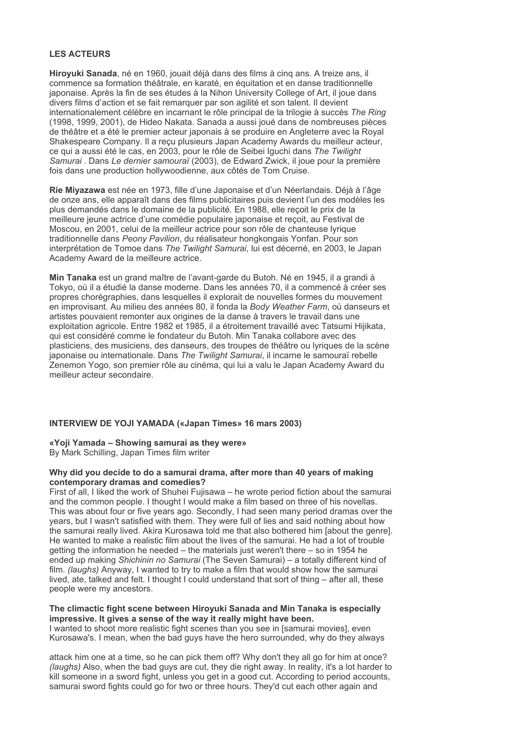#### **LES ACTEURS**

Hiroyuki Sanada, né en 1960, jouait déjà dans des films à cing ans. A treize ans, il commence sa formation théâtrale, en karaté, en équitation et en danse traditionnelle japonaise. Après la fin de ses études à la Nihon University College of Art, il joue dans divers films d'action et se fait remarquer par son agilité et son talent. Il devient internationalement célèbre en incarnant le rôle principal de la trilogie à succès The Ring (1998, 1999, 2001), de Hideo Nakata. Sanada a aussi joué dans de nombreuses pièces de théâtre et a été le premier acteur japonais à se produire en Angleterre avec la Royal Shakespeare Company. Il a reçu plusieurs Japan Academy Awards du meilleur acteur, ce qui a aussi été le cas, en 2003, pour le rôle de Seibei Iguchi dans The Twilight Samurai . Dans Le dernier samouraï (2003), de Edward Zwick, il joue pour la première fois dans une production hollywoodienne, aux côtés de Tom Cruise.

Rie Miyazawa est née en 1973, fille d'une Japonaise et d'un Néerlandais. Déjà à l'âge de onze ans, elle apparaît dans des films publicitaires puis devient l'un des modèles les plus demandés dans le domaine de la publicité. En 1988, elle reçoit le prix de la meilleure jeune actrice d'une comédie populaire japonaise et reçoit, au Festival de Moscou, en 2001, celui de la meilleur actrice pour son rôle de chanteuse lyrique traditionnelle dans Peony Pavilion, du réalisateur hongkongais Yonfan. Pour son interprétation de Tomoe dans The Twilight Samurai, lui est décerné, en 2003, le Japan Academy Award de la meilleure actrice.

Min Tanaka est un grand maître de l'avant-garde du Butoh. Né en 1945, il a grandi à Tokyo, où il a étudié la danse moderne. Dans les années 70, il a commencé à créer ses propres chorégraphies, dans lesquelles il explorait de nouvelles formes du mouvement en improvisant. Au milieu des années 80, il fonda la Body Weather Farm, où danseurs et artistes pouvaient remonter aux origines de la danse à travers le travail dans une exploitation agricole. Entre 1982 et 1985, il a étroitement travaillé avec Tatsumi Hijikata, qui est considéré comme le fondateur du Butoh. Min Tanaka collabore avec des plasticiens, des musiciens, des danseurs, des troupes de théâtre ou lyriques de la scène japonaise ou internationale. Dans The Twilight Samurai, il incarne le samouraï rebelle Zenemon Yogo, son premier rôle au cinéma, qui lui a valu le Japan Academy Award du meilleur acteur secondaire.

#### **INTERVIEW DE YOJI YAMADA («Japan Times» 16 mars 2003)**

# «Yoji Yamada - Showing samurai as they were»

By Mark Schilling, Japan Times film writer

#### Why did you decide to do a samurai drama, after more than 40 years of making contemporary dramas and comedies?

First of all, I liked the work of Shuhei Fujisawa - he wrote period fiction about the samurai and the common people. I thought I would make a film based on three of his novellas. This was about four or five years ago. Secondly, I had seen many period dramas over the years, but I wasn't satisfied with them. They were full of lies and said nothing about how the samurai really lived. Akira Kurosawa told me that also bothered him [about the genre]. He wanted to make a realistic film about the lives of the samurai. He had a lot of trouble getting the information he needed - the materials just weren't there - so in 1954 he ended up making Shichinin no Samurai (The Seven Samurai) - a totally different kind of film. (laughs) Anyway, I wanted to try to make a film that would show how the samurai lived, ate, talked and felt. I thought I could understand that sort of thing – after all, these people were my ancestors.

# The climactic fight scene between Hiroyuki Sanada and Min Tanaka is especially impressive. It gives a sense of the way it really might have been.

I wanted to shoot more realistic fight scenes than you see in [samurai movies], even Kurosawa's. I mean, when the bad guys have the hero surrounded, why do they always

attack him one at a time, so he can pick them off? Why don't they all go for him at once? (laughs) Also, when the bad guys are cut, they die right away. In reality, it's a lot harder to kill someone in a sword fight, unless you get in a good cut. According to period accounts, samurai sword fights could go for two or three hours. They'd cut each other again and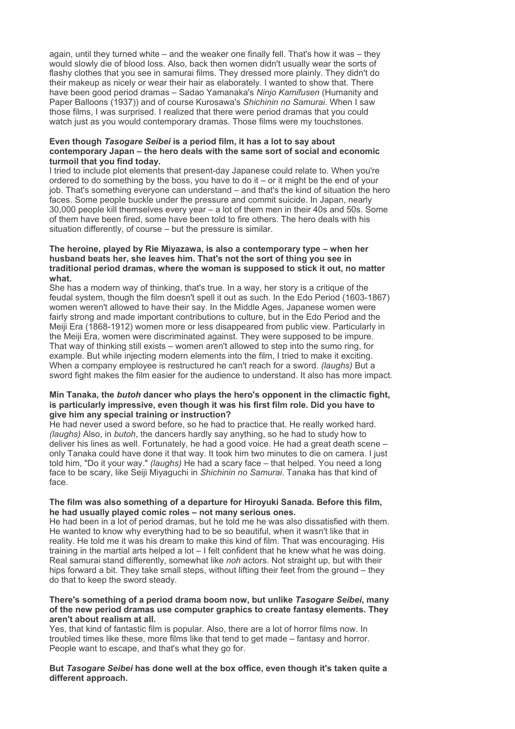again, until they turned white – and the weaker one finally fell. That's how it was – they would slowly die of blood loss. Also, back then women didn't usually wear the sorts of flashy clothes that you see in samurai films. They dressed more plainly. They didn't do their makeup as nicely or wear their hair as elaborately. I wanted to show that. There have been good period dramas - Sadao Yamanaka's Ninio Kamifusen (Humanity and Paper Balloons (1937)) and of course Kurosawa's Shichinin no Samurai. When I saw those films. I was surprised. I realized that there were period dramas that you could watch just as you would contemporary dramas. Those films were my touchstones.

#### Even though Tasogare Seibei is a period film, it has a lot to say about contemporary Japan – the hero deals with the same sort of social and economic turmoil that you find today.

I tried to include plot elements that present-day Japanese could relate to. When you're ordered to do something by the boss, you have to do it - or it might be the end of your job. That's something everyone can understand - and that's the kind of situation the hero faces. Some people buckle under the pressure and commit suicide. In Japan, nearly 30,000 people kill themselves every year – a lot of them men in their 40s and 50s. Some of them have been fired, some have been told to fire others. The hero deals with his situation differently, of course - but the pressure is similar.

#### The heroine, played by Rie Miyazawa, is also a contemporary type - when her husband beats her, she leaves him. That's not the sort of thing you see in traditional period dramas, where the woman is supposed to stick it out, no matter what

She has a modern way of thinking, that's true. In a way, her story is a critique of the feudal system, though the film doesn't spell it out as such. In the Edo Period (1603-1867) women weren't allowed to have their say. In the Middle Ages, Japanese women were fairly strong and made important contributions to culture, but in the Edo Period and the Meiji Era (1868-1912) women more or less disappeared from public view. Particularly in the Meiji Era, women were discriminated against. They were supposed to be impure. That way of thinking still exists – women aren't allowed to step into the sumo ring, for example. But while injecting modern elements into the film, I tried to make it exciting. When a company employee is restructured he can't reach for a sword. (laughs) But a sword fight makes the film easier for the audience to understand. It also has more impact.

#### Min Tanaka, the butoh dancer who plays the hero's opponent in the climactic fight, is particularly impressive, even though it was his first film role. Did you have to give him any special training or instruction?

He had never used a sword before, so he had to practice that. He really worked hard. (laughs) Also, in butoh, the dancers hardly say anything, so he had to study how to deliver his lines as well. Fortunately, he had a good voice. He had a great death scene only Tanaka could have done it that way. It took him two minutes to die on camera. I just told him, "Do it your way." (laughs) He had a scary face - that helped. You need a long face to be scary, like Seiji Miyaguchi in Shichinin no Samurai. Tanaka has that kind of face.

#### The film was also something of a departure for Hirovuki Sanada. Before this film. he had usually played comic roles - not many serious ones.

He had been in a lot of period dramas, but he told me he was also dissatisfied with them. He wanted to know why everything had to be so beautiful, when it wasn't like that in reality. He told me it was his dream to make this kind of film. That was encouraging. His training in the martial arts helped a lot – I felt confident that he knew what he was doing. Real samurai stand differently, somewhat like noh actors. Not straight up, but with their hips forward a bit. They take small steps, without lifting their feet from the ground – they do that to keep the sword steady.

#### There's something of a period drama boom now, but unlike Tasogare Seibei, many of the new period dramas use computer graphics to create fantasy elements. They aren't about realism at all.

Yes, that kind of fantastic film is popular. Also, there are a lot of horror films now. In troubled times like these, more films like that tend to get made – fantasy and horror. People want to escape, and that's what they go for.

But Tasogare Seibei has done well at the box office, even though it's taken quite a different approach.